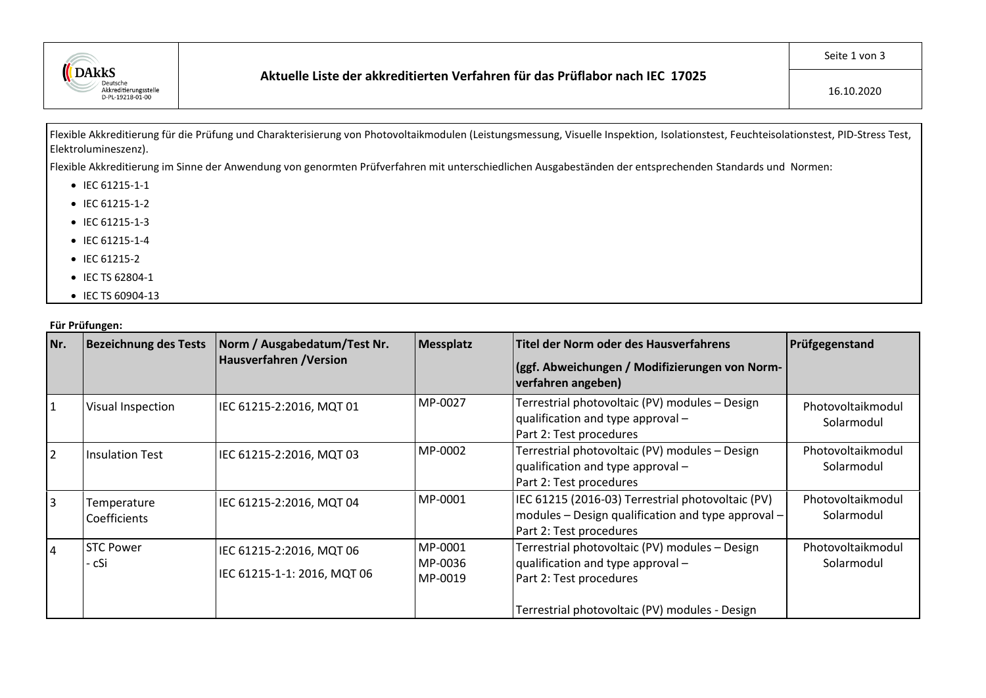

Flexible Akkreditierung für die Prüfung und Charakterisierung von Photovoltaikmodulen (Leistungsmessung, Visuelle Inspektion, Isolationstest, Feuchteisolationstest, PID-Stress Test, Elektrolumineszenz).

Flexible Akkreditierung im Sinne der Anwendung von genormten Prüfverfahren mit unterschiedlichen Ausgabeständen der entsprechenden Standards und Normen:

- IEC 61215-1-1
- IEC 61215-1-2
- IEC 61215-1-3
- IEC 61215-1-4
- IEC 61215-2
- IEC TS 62804-1
- IEC TS 60904-13

## **Für Prüfungen:**

| Nr.            | <b>Bezeichnung des Tests</b> | Norm / Ausgabedatum/Test Nr.<br>Hausverfahren / Version | <b>Messplatz</b>              | Titel der Norm oder des Hausverfahrens                                                                                             | Prüfgegenstand                  |
|----------------|------------------------------|---------------------------------------------------------|-------------------------------|------------------------------------------------------------------------------------------------------------------------------------|---------------------------------|
|                |                              |                                                         |                               | (ggf. Abweichungen / Modifizierungen von Norm-<br>verfahren angeben)                                                               |                                 |
| 1              | Visual Inspection            | IEC 61215-2:2016, MQT 01                                | MP-0027                       | Terrestrial photovoltaic (PV) modules - Design<br>qualification and type approval -<br>Part 2: Test procedures                     | Photovoltaikmodul<br>Solarmodul |
| $\overline{2}$ | <b>Insulation Test</b>       | IEC 61215-2:2016, MQT 03                                | MP-0002                       | Terrestrial photovoltaic (PV) modules - Design<br>qualification and type approval -<br>Part 2: Test procedures                     | Photovoltaikmodul<br>Solarmodul |
| 3              | Temperature<br>Coefficients  | IEC 61215-2:2016, MQT 04                                | MP-0001                       | IEC 61215 (2016-03) Terrestrial photovoltaic (PV)<br>modules - Design qualification and type approval -<br>Part 2: Test procedures | Photovoltaikmodul<br>Solarmodul |
| $\overline{4}$ | <b>STC Power</b><br>- cSi    | IEC 61215-2:2016, MQT 06<br>IEC 61215-1-1: 2016, MQT 06 | MP-0001<br>MP-0036<br>MP-0019 | Terrestrial photovoltaic (PV) modules - Design<br>qualification and type approval -<br>Part 2: Test procedures                     | Photovoltaikmodul<br>Solarmodul |
|                |                              |                                                         |                               | Terrestrial photovoltaic (PV) modules - Design                                                                                     |                                 |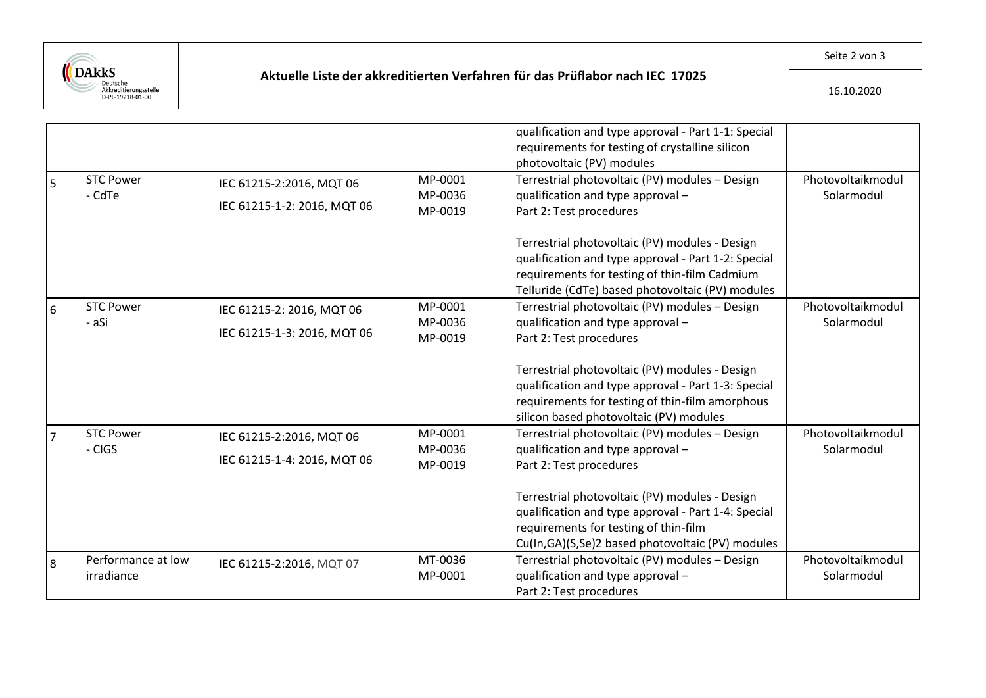

## **Aktuelle Liste der akkreditierten Verfahren für das Prüflabor nach IEC 17025**

|                |                                  |                                                          |                               | qualification and type approval - Part 1-1: Special<br>requirements for testing of crystalline silicon<br>photovoltaic (PV) modules                                                                                                                                                                                          |                                 |
|----------------|----------------------------------|----------------------------------------------------------|-------------------------------|------------------------------------------------------------------------------------------------------------------------------------------------------------------------------------------------------------------------------------------------------------------------------------------------------------------------------|---------------------------------|
| $\overline{5}$ | <b>STC Power</b><br>- CdTe       | IEC 61215-2:2016, MQT 06<br>IEC 61215-1-2: 2016, MQT 06  | MP-0001<br>MP-0036<br>MP-0019 | Terrestrial photovoltaic (PV) modules - Design<br>qualification and type approval -<br>Part 2: Test procedures<br>Terrestrial photovoltaic (PV) modules - Design<br>qualification and type approval - Part 1-2: Special<br>requirements for testing of thin-film Cadmium<br>Telluride (CdTe) based photovoltaic (PV) modules | Photovoltaikmodul<br>Solarmodul |
| $\overline{6}$ | <b>STC Power</b><br>- aSi        | IEC 61215-2: 2016, MQT 06<br>IEC 61215-1-3: 2016, MQT 06 | MP-0001<br>MP-0036<br>MP-0019 | Terrestrial photovoltaic (PV) modules - Design<br>qualification and type approval -<br>Part 2: Test procedures<br>Terrestrial photovoltaic (PV) modules - Design<br>qualification and type approval - Part 1-3: Special<br>requirements for testing of thin-film amorphous<br>silicon based photovoltaic (PV) modules        | Photovoltaikmodul<br>Solarmodul |
| $\overline{7}$ | <b>STC Power</b><br>- CIGS       | IEC 61215-2:2016, MQT 06<br>IEC 61215-1-4: 2016, MQT 06  | MP-0001<br>MP-0036<br>MP-0019 | Terrestrial photovoltaic (PV) modules - Design<br>qualification and type approval -<br>Part 2: Test procedures<br>Terrestrial photovoltaic (PV) modules - Design<br>qualification and type approval - Part 1-4: Special<br>requirements for testing of thin-film<br>Cu(In, GA)(S, Se)2 based photovoltaic (PV) modules       | Photovoltaikmodul<br>Solarmodul |
| $\overline{8}$ | Performance at low<br>irradiance | IEC 61215-2:2016, MQT 07                                 | MT-0036<br>MP-0001            | Terrestrial photovoltaic (PV) modules - Design<br>qualification and type approval -<br>Part 2: Test procedures                                                                                                                                                                                                               | Photovoltaikmodul<br>Solarmodul |